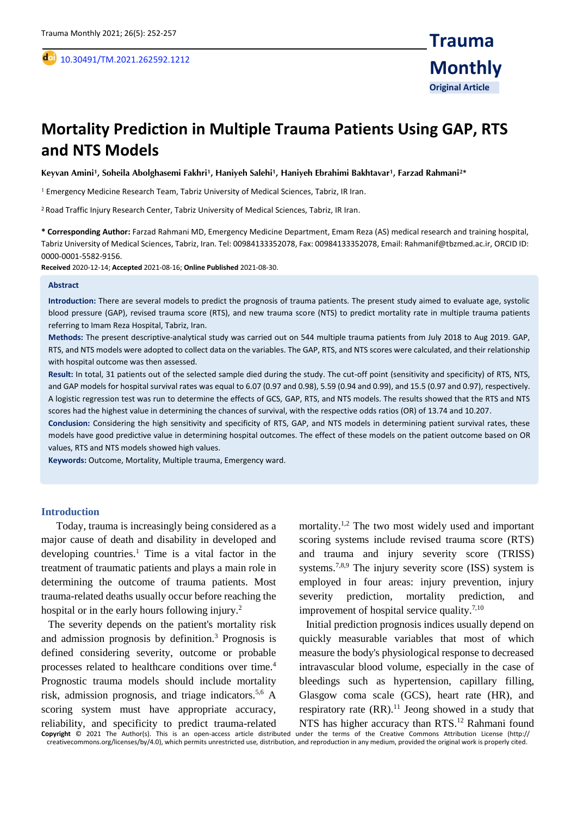# **Mortality Prediction in Multiple Trauma Patients Using GAP, RTS and NTS Models**

**Keyvan Amini<sup>1</sup> , Soheila Abolghasemi Fakhri<sup>1</sup> , Haniyeh Salehi<sup>1</sup> , Haniyeh Ebrahimi Bakhtavar<sup>1</sup> , Farzad Rahmani<sup>2</sup>\***

<sup>1</sup> Emergency Medicine Research Team, Tabriz University of Medical Sciences, Tabriz, IR Iran.

<sup>2</sup> Road Traffic Injury Research Center, Tabriz University of Medical Sciences, Tabriz, IR Iran.

**\* Corresponding Author:** Farzad Rahmani MD, Emergency Medicine Department, Emam Reza (AS) medical research and training hospital, Tabriz University of Medical Sciences, Tabriz, Iran. Tel: 00984133352078, Fax: 00984133352078, Email: Rahmanif@tbzmed.ac.ir, ORCID ID: 0000-0001-5582-9156.

**Received** 2020-12-14; **Accepted** 2021-08-16; **Online Published** 2021-08-30.

#### **Abstract**

,

**Introduction:** There are several models to predict the prognosis of trauma patients. The present study aimed to evaluate age, systolic blood pressure (GAP), revised trauma score (RTS), and new trauma score (NTS) to predict mortality rate in multiple trauma patients referring to Imam Reza Hospital, Tabriz, Iran.

**Methods:** The present descriptive-analytical study was carried out on 544 multiple trauma patients from July 2018 to Aug 2019. GAP, RTS, and NTS models were adopted to collect data on the variables. The GAP, RTS, and NTS scores were calculated, and their relationship with hospital outcome was then assessed.

**Result:** In total, 31 patients out of the selected sample died during the study. The cut-off point (sensitivity and specificity) of RTS, NTS, and GAP models for hospital survival rates was equal to 6.07 (0.97 and 0.98), 5.59 (0.94 and 0.99), and 15.5 (0.97 and 0.97), respectively. A logistic regression test was run to determine the effects of GCS, GAP, RTS, and NTS models. The results showed that the RTS and NTS scores had the highest value in determining the chances of survival, with the respective odds ratios (OR) of 13.74 and 10.207.

**Conclusion:** Considering the high sensitivity and specificity of RTS, GAP, and NTS models in determining patient survival rates, these models have good predictive value in determining hospital outcomes. The effect of these models on the patient outcome based on OR values, RTS and NTS models showed high values.

**Keywords:** Outcome, Mortality, Multiple trauma, Emergency ward.

#### **Introduction**

 Today, trauma is increasingly being considered as a major cause of death and disability in developed and developing countries. <sup>1</sup> Time is a vital factor in the treatment of traumatic patients and plays a main role in determining the outcome of trauma patients. Most trauma-related deaths usually occur before reaching the hospital or in the early hours following injury.<sup>2</sup>

The severity depends on the patient's mortality risk and admission prognosis by definition. <sup>3</sup> Prognosis is defined considering severity, outcome or probable processes related to healthcare conditions over time. 4 Prognostic trauma models should include mortality risk, admission prognosis, and triage indicators. 5,6 A scoring system must have appropriate accuracy, reliability, and specificity to predict trauma-related

mortality. 1,2 The two most widely used and important scoring systems include revised trauma score (RTS) and trauma and injury severity score (TRISS) systems.<sup>7,8,9</sup> The injury severity score (ISS) system is employed in four areas: injury prevention, injury severity prediction, mortality prediction, and improvement of hospital service quality.<sup>7,10</sup>

Initial prediction prognosis indices usually depend on quickly measurable variables that most of which measure the body's physiological response to decreased intravascular blood volume, especially in the case of bleedings such as hypertension, capillary filling, Glasgow coma scale (GCS), heart rate (HR), and respiratory rate  $(RR)$ .<sup>11</sup> Jeong showed in a study that NTS has higher accuracy than RTS.<sup>12</sup> Rahmani found

**Copyright** © 2021 The Author(s). This is an open-access article distributed under the terms of the Creative Commons Attribution License (http:// creativecommons.org/licenses/by/4.0), which permits unrestricted use, distribution, and reproduction in any medium, provided the original work is properly cited.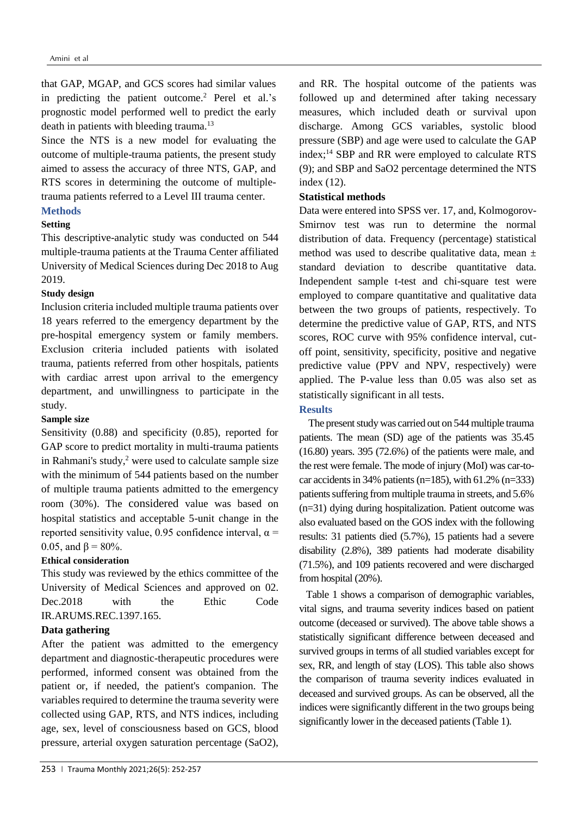that GAP, MGAP, and GCS scores had similar values in predicting the patient outcome. <sup>2</sup> Perel et al.'s prognostic model performed well to predict the early death in patients with bleeding trauma.<sup>13</sup>

Since the NTS is a new model for evaluating the outcome of multiple-trauma patients, the present study aimed to assess the accuracy of three NTS, GAP, and RTS scores in determining the outcome of multipletrauma patients referred to a Level III trauma center.

# **Methods**

#### **Setting**

This descriptive-analytic study was conducted on 544 multiple-trauma patients at the Trauma Center affiliated University of Medical Sciences during Dec 2018 to Aug 2019.

# **Study design**

Inclusion criteria included multiple trauma patients over 18 years referred to the emergency department by the pre-hospital emergency system or family members. Exclusion criteria included patients with isolated trauma, patients referred from other hospitals, patients with cardiac arrest upon arrival to the emergency department, and unwillingness to participate in the study.

#### **Sample size**

Sensitivity (0.88) and specificity (0.85), reported for GAP score to predict mortality in multi-trauma patients in Rahmani's study, <sup>2</sup> were used to calculate sample size with the minimum of 544 patients based on the number of multiple trauma patients admitted to the emergency room (30%). The considered value was based on hospital statistics and acceptable 5-unit change in the reported sensitivity value, 0.95 confidence interval,  $\alpha$  = 0.05, and  $\beta = 80\%$ .

## **Ethical consideration**

This study was reviewed by the ethics committee of the University of Medical Sciences and approved on 02. Dec. 2018 with the Ethic Code IR.ARUMS.REC.1397.165.

## **Data gathering**

After the patient was admitted to the emergency department and diagnostic-therapeutic procedures were performed, informed consent was obtained from the patient or, if needed, the patient's companion. The variables required to determine the trauma severity were collected using GAP, RTS, and NTS indices, including age, sex, level of consciousness based on GCS, blood pressure, arterial oxygen saturation percentage (SaO2),

and RR. The hospital outcome of the patients was followed up and determined after taking necessary measures, which included death or survival upon discharge. Among GCS variables, systolic blood pressure (SBP) and age were used to calculate the GAP index; <sup>14</sup> SBP and RR were employed to calculate RTS (9); and SBP and SaO2 percentage determined the NTS index (12).

## **Statistical methods**

Data were entered into SPSS ver. 17, and, Kolmogorov-Smirnov test was run to determine the normal distribution of data. Frequency (percentage) statistical method was used to describe qualitative data, mean ± standard deviation to describe quantitative data. Independent sample t-test and chi-square test were employed to compare quantitative and qualitative data between the two groups of patients, respectively. To determine the predictive value of GAP, RTS, and NTS scores, ROC curve with 95% confidence interval, cutoff point, sensitivity, specificity, positive and negative predictive value (PPV and NPV, respectively) were applied. The P-value less than 0.05 was also set as statistically significant in all tests.

#### **Results**

The present study was carried out on 544 multiple trauma patients. The mean (SD) age of the patients was 35.45 (16.80) years. 395 (72.6%) of the patients were male, and the rest were female. The mode of injury (MoI) was car-tocar accidents in 34% patients ( $n=185$ ), with 61.2% ( $n=333$ ) patients suffering from multiple trauma in streets, and 5.6% (n=31) dying during hospitalization. Patient outcome was also evaluated based on the GOS index with the following results: 31 patients died (5.7%), 15 patients had a severe disability (2.8%), 389 patients had moderate disability (71.5%), and 109 patients recovered and were discharged from hospital (20%).

Table 1 shows a comparison of demographic variables, vital signs, and trauma severity indices based on patient outcome (deceased or survived). The above table shows a statistically significant difference between deceased and survived groups in terms of all studied variables except for sex, RR, and length of stay (LOS). This table also shows the comparison of trauma severity indices evaluated in deceased and survived groups. As can be observed, all the indices were significantly different in the two groups being significantly lower in the deceased patients (Table 1).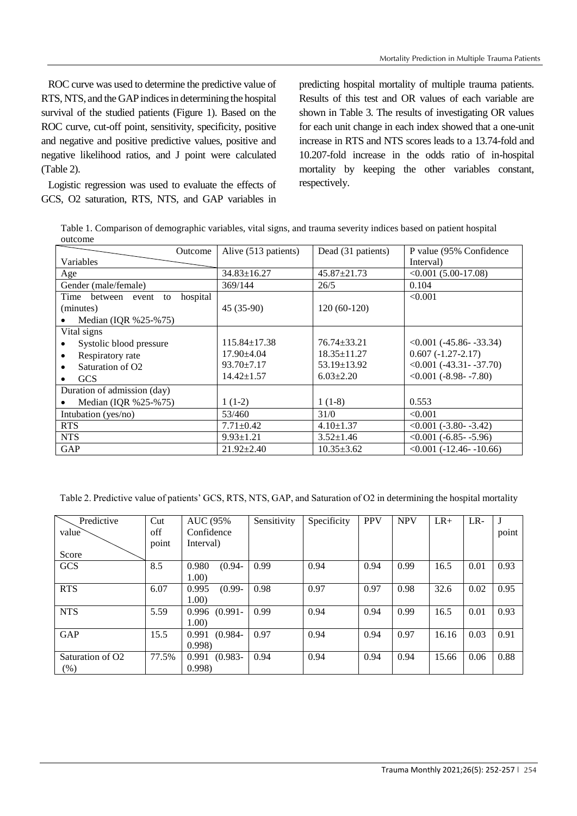ROC curve was used to determine the predictive value of RTS, NTS, and the GAP indices in determining the hospital survival of the studied patients (Figure 1). Based on the ROC curve, cut-off point, sensitivity, specificity, positive and negative and positive predictive values, positive and negative likelihood ratios, and J point were calculated (Table 2).

Logistic regression was used to evaluate the effects of GCS, O2 saturation, RTS, NTS, and GAP variables in

predicting hospital mortality of multiple trauma patients. Results of this test and OR values of each variable are shown in Table 3. The results of investigating OR values for each unit change in each index showed that a one-unit increase in RTS and NTS scores leads to a 13.74-fold and 10.207-fold increase in the odds ratio of in-hospital mortality by keeping the other variables constant, respectively.

Table 1. Comparison of demographic variables, vital signs, and trauma severity indices based on patient hospital outcome

| Outcome                                 | Alive (513 patients) | Dead (31 patients) | P value (95% Confidence)    |
|-----------------------------------------|----------------------|--------------------|-----------------------------|
| Variables                               |                      |                    | Interval)                   |
| Age                                     | $34.83 \pm 16.27$    | $45.87 \pm 21.73$  | $\leq 0.001$ (5.00-17.08)   |
| Gender (male/female)                    | 369/144              | 26/5               | 0.104                       |
| hospital<br>Time<br>between event<br>to |                      |                    | < 0.001                     |
| (minutes)                               | $45(35-90)$          | $120(60-120)$      |                             |
| Median (IQR %25-%75)                    |                      |                    |                             |
| Vital signs                             |                      |                    |                             |
| Systolic blood pressure                 | $115.84 \pm 17.38$   | $76.74 \pm 33.21$  | $< 0.001$ (-45.86 - -33.34) |
| Respiratory rate                        | $17.90 \pm 4.04$     | $18.35 \pm 11.27$  | $0.607(-1.27-2.17)$         |
| Saturation of O <sub>2</sub>            | $93.70 \pm 7.17$     | $53.19 \pm 13.92$  | $<0.001$ (-43.31 - -37.70)  |
| <b>GCS</b>                              | $14.42 \pm 1.57$     | $6.03 \pm 2.20$    | $<0.001$ (-8.98- -7.80)     |
| Duration of admission (day)             |                      |                    |                             |
| Median (IQR $%25-%75$ )                 | $1(1-2)$             | $1(1-8)$           | 0.553                       |
| Intubation (yes/no)                     | 53/460               | 31/0               | < 0.001                     |
| <b>RTS</b>                              | $7.71 \pm 0.42$      | $4.10 \pm 1.37$    | $< 0.001$ (-3.80- -3.42)    |
| <b>NTS</b>                              | $9.93 \pm 1.21$      | $3.52 \pm 1.46$    | $\leq 0.001$ (-6.85- -5.96) |
| GAP                                     | $21.92 \pm 2.40$     | $10.35 \pm 3.62$   | $< 0.001 (-12.46 - 10.66)$  |

Table 2. Predictive value of patients' GCS, RTS, NTS, GAP, and Saturation of O2 in determining the hospital mortality

| Predictive                   | Cut   | <b>AUC</b> (95%)    | Sensitivity | Specificity | <b>PPV</b> | <b>NPV</b> | $LR+$ | $LR-$ |       |
|------------------------------|-------|---------------------|-------------|-------------|------------|------------|-------|-------|-------|
| value                        | off   | Confidence          |             |             |            |            |       |       | point |
|                              | point | Interval)           |             |             |            |            |       |       |       |
| Score                        |       |                     |             |             |            |            |       |       |       |
| GCS                          | 8.5   | 0.980<br>$(0.94 -$  | 0.99        | 0.94        | 0.94       | 0.99       | 16.5  | 0.01  | 0.93  |
|                              |       | 1.00)               |             |             |            |            |       |       |       |
| <b>RTS</b>                   | 6.07  | 0.995<br>$(0.99 -$  | 0.98        | 0.97        | 0.97       | 0.98       | 32.6  | 0.02  | 0.95  |
|                              |       | 1.00)               |             |             |            |            |       |       |       |
| <b>NTS</b>                   | 5.59  | $0.996$ $(0.991 -$  | 0.99        | 0.94        | 0.94       | 0.99       | 16.5  | 0.01  | 0.93  |
|                              |       | 1.00)               |             |             |            |            |       |       |       |
| <b>GAP</b>                   | 15.5  | $(0.984 -$<br>0.991 | 0.97        | 0.94        | 0.94       | 0.97       | 16.16 | 0.03  | 0.91  |
|                              |       | 0.998               |             |             |            |            |       |       |       |
| Saturation of O <sub>2</sub> | 77.5% | $(0.983 -$<br>0.991 | 0.94        | 0.94        | 0.94       | 0.94       | 15.66 | 0.06  | 0.88  |
| (%)                          |       | 0.998               |             |             |            |            |       |       |       |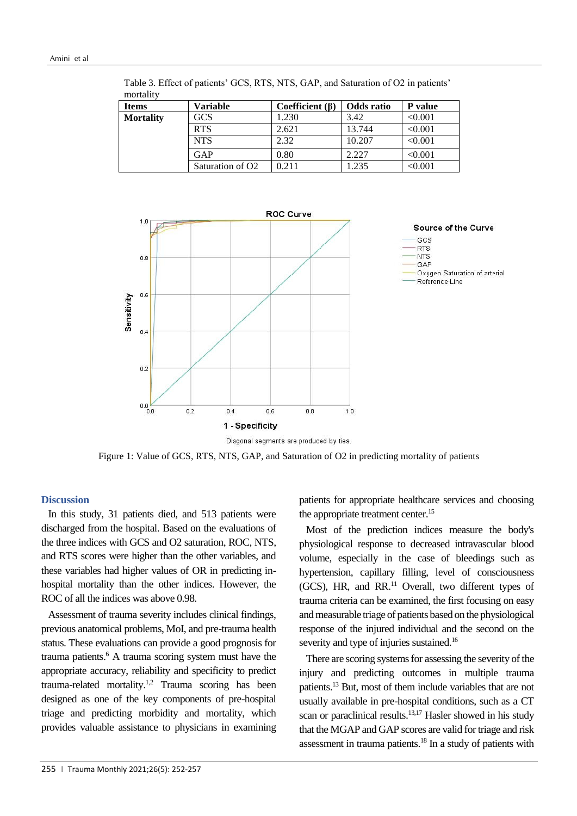| monden<br><b>Items</b> | <b>Variable</b>  | Coefficient $(\beta)$ | Odds ratio | P value      |
|------------------------|------------------|-----------------------|------------|--------------|
| <b>Mortality</b>       | GCS              | .230                  | 3.42       | < 0.001      |
|                        | <b>RTS</b>       | 2.621                 | 13.744     | < 0.001      |
|                        | <b>NTS</b>       | 2.32                  | 10.207     | < 0.001      |
|                        | GAP              | 0.80                  | 2.227      | < 0.001      |
|                        | Saturation of O2 | 0.211                 | .235       | $<\!\!0.001$ |

Table 3. Effect of patients' GCS, RTS, NTS, GAP, and Saturation of O2 in patients' mortality



Diagonal segments are produced by ties.

Figure 1: Value of GCS, RTS, NTS, GAP, and Saturation of O2 in predicting mortality of patients

#### **Discussion**

In this study, 31 patients died, and 513 patients were discharged from the hospital. Based on the evaluations of the three indices with GCS and O2 saturation, ROC, NTS, and RTS scores were higher than the other variables, and these variables had higher values of OR in predicting inhospital mortality than the other indices. However, the ROC of all the indices was above 0.98.

Assessment of trauma severity includes clinical findings, previous anatomical problems, MoI, and pre-trauma health status. These evaluations can provide a good prognosis for trauma patients. <sup>6</sup> A trauma scoring system must have the appropriate accuracy, reliability and specificity to predict trauma-related mortality.<sup>1,2</sup> Trauma scoring has been designed as one of the key components of pre-hospital triage and predicting morbidity and mortality, which provides valuable assistance to physicians in examining

patients for appropriate healthcare services and choosing the appropriate treatment center. 15

Most of the prediction indices measure the body's physiological response to decreased intravascular blood volume, especially in the case of bleedings such as hypertension, capillary filling, level of consciousness (GCS), HR, and RR. <sup>11</sup> Overall, two different types of trauma criteria can be examined, the first focusing on easy and measurable triage of patients based on the physiological response of the injured individual and the second on the severity and type of injuries sustained.<sup>16</sup>

There are scoring systems for assessing the severity of the injury and predicting outcomes in multiple trauma patients. <sup>13</sup> But, most of them include variables that are not usually available in pre-hospital conditions, such as a CT scan or paraclinical results. 13,17 Hasler showed in his study that the MGAP and GAP scores are valid for triage and risk assessment in trauma patients. <sup>18</sup> In a study of patients with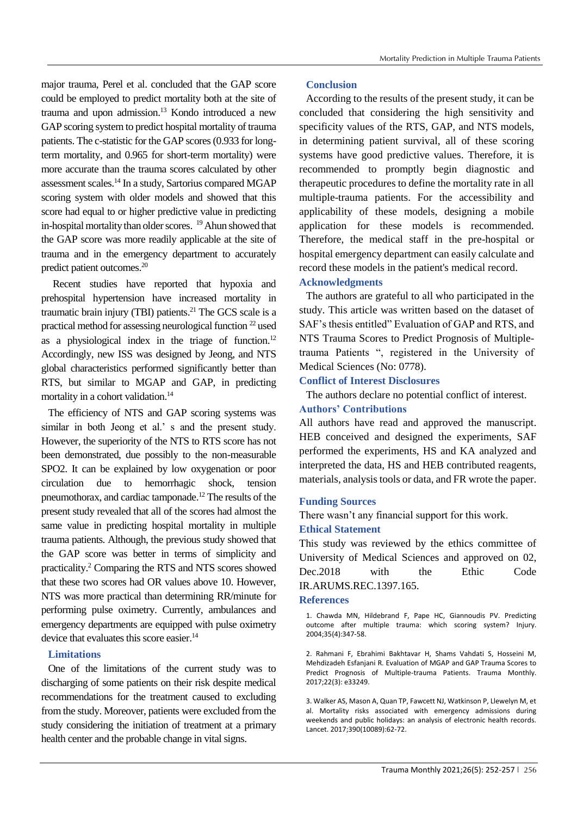major trauma, Perel et al. concluded that the GAP score could be employed to predict mortality both at the site of trauma and upon admission. <sup>13</sup> Kondo introduced a new GAP scoring system to predict hospital mortality of trauma patients. The c-statistic for the GAP scores (0.933 for longterm mortality, and 0.965 for short-term mortality) were more accurate than the trauma scores calculated by other assessment scales. <sup>14</sup> In a study, Sartorius compared MGAP scoring system with older models and showed that this score had equal to or higher predictive value in predicting in-hospital mortality than older scores. <sup>19</sup>Ahun showed that the GAP score was more readily applicable at the site of trauma and in the emergency department to accurately predict patient outcomes. 20

Recent studies have reported that hypoxia and prehospital hypertension have increased mortality in traumatic brain injury (TBI) patients. <sup>21</sup> The GCS scale is a practical method for assessing neurological function <sup>22</sup> used as a physiological index in the triage of function.<sup>12</sup> Accordingly, new ISS was designed by Jeong, and NTS global characteristics performed significantly better than RTS, but similar to MGAP and GAP, in predicting mortality in a cohort validation. 14

The efficiency of NTS and GAP scoring systems was similar in both Jeong et al.' s and the present study. However, the superiority of the NTS to RTS score has not been demonstrated, due possibly to the non-measurable SPO2. It can be explained by low oxygenation or poor circulation due to hemorrhagic shock, tension pneumothorax, and cardiac tamponade. <sup>12</sup> The results of the present study revealed that all of the scores had almost the same value in predicting hospital mortality in multiple trauma patients. Although, the previous study showed that the GAP score was better in terms of simplicity and practicality. <sup>2</sup> Comparing the RTS and NTS scores showed that these two scores had OR values above 10. However, NTS was more practical than determining RR/minute for performing pulse oximetry. Currently, ambulances and emergency departments are equipped with pulse oximetry device that evaluates this score easier.<sup>14</sup>

## **Limitations**

One of the limitations of the current study was to discharging of some patients on their risk despite medical recommendations for the treatment caused to excluding from the study. Moreover, patients were excluded from the study considering the initiation of treatment at a primary health center and the probable change in vital signs.

## **Conclusion**

According to the results of the present study, it can be concluded that considering the high sensitivity and specificity values of the RTS, GAP, and NTS models, in determining patient survival, all of these scoring systems have good predictive values. Therefore, it is recommended to promptly begin diagnostic and therapeutic procedures to define the mortality rate in all multiple-trauma patients. For the accessibility and applicability of these models, designing a mobile application for these models is recommended. Therefore, the medical staff in the pre-hospital or hospital emergency department can easily calculate and record these models in the patient's medical record.

## **Acknowledgments**

The authors are grateful to all who participated in the study. This article was written based on the dataset of SAF's thesis entitled" Evaluation of GAP and RTS, and NTS Trauma Scores to Predict Prognosis of Multipletrauma Patients ", registered in the University of Medical Sciences (No: 0778).

# **Conflict of Interest Disclosures**

The authors declare no potential conflict of interest.

## **Authors' Contributions**

All authors have read and approved the manuscript. HEB conceived and designed the experiments, SAF performed the experiments, HS and KA analyzed and interpreted the data, HS and HEB contributed reagents, materials, analysis tools or data, and FR wrote the paper.

## **Funding Sources**

There wasn't any financial support for this work.

## **Ethical Statement**

This study was reviewed by the ethics committee of University of Medical Sciences and approved on 02, Dec.2018 with the Ethic Code IR.ARUMS.REC.1397.165.

#### **References**

1. Chawda MN, Hildebrand F, Pape HC, Giannoudis PV. Predicting outcome after multiple trauma: which scoring system? Injury. 2004;35(4):347-58.

2. Rahmani F, Ebrahimi Bakhtavar H, Shams Vahdati S, Hosseini M, Mehdizadeh Esfanjani R. Evaluation of MGAP and GAP Trauma Scores to Predict Prognosis of Multiple-trauma Patients. Trauma Monthly. 2017;22(3): e33249.

3. Walker AS, Mason A, Quan TP, Fawcett NJ, Watkinson P, Llewelyn M, et al. Mortality risks associated with emergency admissions during weekends and public holidays: an analysis of electronic health records. Lancet. 2017;390(10089):62-72.